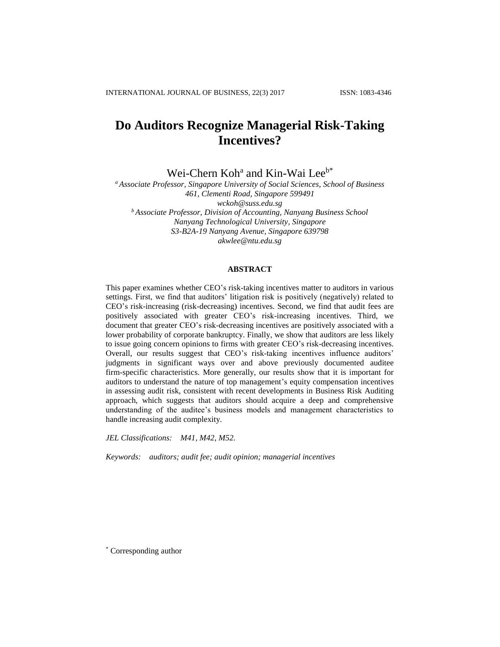# **Do Auditors Recognize Managerial Risk-Taking Incentives?**

Wei-Chern Koh<sup>a</sup> and Kin-Wai Lee<sup>b\*</sup>

*<sup>a</sup> Associate Professor, Singapore University of Social Sciences, School of Business 461, Clementi Road, Singapore 599491 [wckoh@suss.edu.sg](mailto:wckoh@unisim.edu.sg) <sup>b</sup> Associate Professor, Division of Accounting, Nanyang Business School Nanyang Technological University, Singapore S3-B2A-19 Nanyang Avenue, Singapore 639798 [akwlee@ntu.edu.sg](mailto:akwlee@ntu.edu.sg)*

#### **ABSTRACT**

This paper examines whether CEO's risk-taking incentives matter to auditors in various settings. First, we find that auditors' litigation risk is positively (negatively) related to CEO's risk-increasing (risk-decreasing) incentives. Second, we find that audit fees are positively associated with greater CEO's risk-increasing incentives. Third, we document that greater CEO's risk-decreasing incentives are positively associated with a lower probability of corporate bankruptcy. Finally, we show that auditors are less likely to issue going concern opinions to firms with greater CEO's risk-decreasing incentives. Overall, our results suggest that CEO's risk-taking incentives influence auditors' judgments in significant ways over and above previously documented auditee firm-specific characteristics. More generally, our results show that it is important for auditors to understand the nature of top management's equity compensation incentives in assessing audit risk, consistent with recent developments in Business Risk Auditing approach, which suggests that auditors should acquire a deep and comprehensive understanding of the auditee's business models and management characteristics to handle increasing audit complexity.

*JEL Classifications: M41, M42, M52.*

*Keywords: auditors; audit fee; audit opinion; managerial incentives*

\* Corresponding author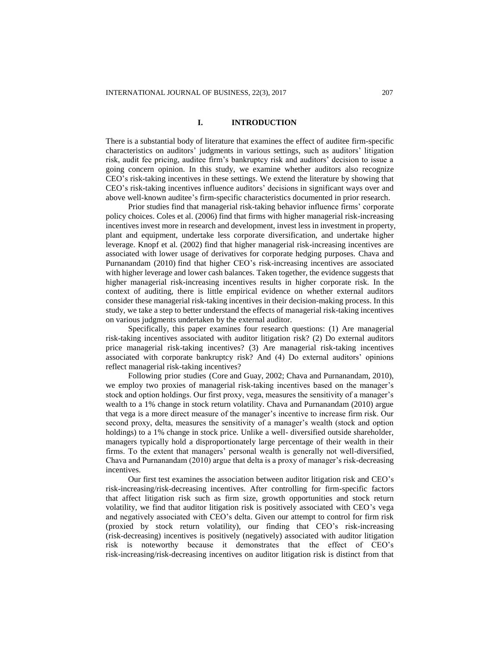#### **I. INTRODUCTION**

There is a substantial body of literature that examines the effect of auditee firm-specific characteristics on auditors' judgments in various settings, such as auditors' litigation risk, audit fee pricing, auditee firm's bankruptcy risk and auditors' decision to issue a going concern opinion. In this study, we examine whether auditors also recognize CEO's risk-taking incentives in these settings. We extend the literature by showing that CEO's risk-taking incentives influence auditors' decisions in significant ways over and above well-known auditee's firm-specific characteristics documented in prior research.

Prior studies find that managerial risk-taking behavior influence firms' corporate policy choices. Coles et al. (2006) find that firms with higher managerial risk-increasing incentives invest more in research and development, invest less in investment in property, plant and equipment, undertake less corporate diversification, and undertake higher leverage. Knopf et al. (2002) find that higher managerial risk-increasing incentives are associated with lower usage of derivatives for corporate hedging purposes. Chava and Purnanandam (2010) find that higher CEO's risk-increasing incentives are associated with higher leverage and lower cash balances. Taken together, the evidence suggests that higher managerial risk-increasing incentives results in higher corporate risk. In the context of auditing, there is little empirical evidence on whether external auditors consider these managerial risk-taking incentives in their decision-making process. In this study, we take a step to better understand the effects of managerial risk-taking incentives on various judgments undertaken by the external auditor.

Specifically, this paper examines four research questions: (1) Are managerial risk-taking incentives associated with auditor litigation risk? (2) Do external auditors price managerial risk-taking incentives? (3) Are managerial risk-taking incentives associated with corporate bankruptcy risk? And (4) Do external auditors' opinions reflect managerial risk-taking incentives?

Following prior studies (Core and Guay, 2002; Chava and Purnanandam, 2010), we employ two proxies of managerial risk-taking incentives based on the manager's stock and option holdings. Our first proxy, vega, measures the sensitivity of a manager's wealth to a 1% change in stock return volatility. Chava and Purnanandam (2010) argue that vega is a more direct measure of the manager's incentive to increase firm risk. Our second proxy, delta, measures the sensitivity of a manager's wealth (stock and option holdings) to a 1% change in stock price. Unlike a well- diversified outside shareholder, managers typically hold a disproportionately large percentage of their wealth in their firms. To the extent that managers' personal wealth is generally not well-diversified, Chava and Purnanandam (2010) argue that delta is a proxy of manager's risk-decreasing incentives.

Our first test examines the association between auditor litigation risk and CEO's risk-increasing/risk-decreasing incentives. After controlling for firm-specific factors that affect litigation risk such as firm size, growth opportunities and stock return volatility, we find that auditor litigation risk is positively associated with CEO's vega and negatively associated with CEO's delta. Given our attempt to control for firm risk (proxied by stock return volatility), our finding that CEO's risk-increasing (risk-decreasing) incentives is positively (negatively) associated with auditor litigation risk is noteworthy because it demonstrates that the effect of CEO's risk-increasing/risk-decreasing incentives on auditor litigation risk is distinct from that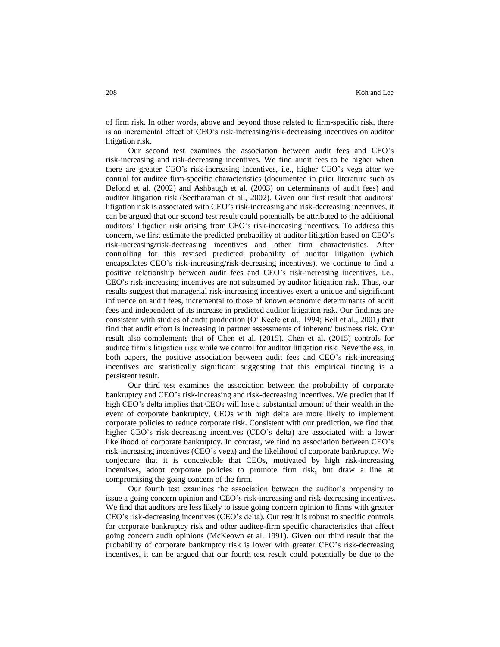of firm risk. In other words, above and beyond those related to firm-specific risk, there is an incremental effect of CEO's risk-increasing/risk-decreasing incentives on auditor litigation risk.

Our second test examines the association between audit fees and CEO's risk-increasing and risk-decreasing incentives. We find audit fees to be higher when there are greater CEO's risk-increasing incentives, i.e., higher CEO's vega after we control for auditee firm-specific characteristics (documented in prior literature such as Defond et al. (2002) and Ashbaugh et al. (2003) on determinants of audit fees) and auditor litigation risk (Seetharaman et al., 2002). Given our first result that auditors' litigation risk is associated with CEO's risk-increasing and risk-decreasing incentives, it can be argued that our second test result could potentially be attributed to the additional auditors' litigation risk arising from CEO's risk-increasing incentives. To address this concern, we first estimate the predicted probability of auditor litigation based on CEO's risk-increasing/risk-decreasing incentives and other firm characteristics. After controlling for this revised predicted probability of auditor litigation (which encapsulates CEO's risk-increasing/risk-decreasing incentives), we continue to find a positive relationship between audit fees and CEO's risk-increasing incentives, i.e., CEO's risk-increasing incentives are not subsumed by auditor litigation risk. Thus, our results suggest that managerial risk-increasing incentives exert a unique and significant influence on audit fees, incremental to those of known economic determinants of audit fees and independent of its increase in predicted auditor litigation risk. Our findings are consistent with studies of audit production (O' Keefe et al., 1994; Bell et al., 2001) that find that audit effort is increasing in partner assessments of inherent/ business risk. Our result also complements that of Chen et al. (2015). Chen et al. (2015) controls for auditee firm's litigation risk while we control for auditor litigation risk. Nevertheless, in both papers, the positive association between audit fees and CEO's risk-increasing incentives are statistically significant suggesting that this empirical finding is a persistent result.

Our third test examines the association between the probability of corporate bankruptcy and CEO's risk-increasing and risk-decreasing incentives. We predict that if high CEO's delta implies that CEOs will lose a substantial amount of their wealth in the event of corporate bankruptcy, CEOs with high delta are more likely to implement corporate policies to reduce corporate risk. Consistent with our prediction, we find that higher CEO's risk-decreasing incentives (CEO's delta) are associated with a lower likelihood of corporate bankruptcy. In contrast, we find no association between CEO's risk-increasing incentives (CEO's vega) and the likelihood of corporate bankruptcy. We conjecture that it is conceivable that CEOs, motivated by high risk-increasing incentives, adopt corporate policies to promote firm risk, but draw a line at compromising the going concern of the firm.

Our fourth test examines the association between the auditor's propensity to issue a going concern opinion and CEO's risk-increasing and risk-decreasing incentives. We find that auditors are less likely to issue going concern opinion to firms with greater CEO's risk-decreasing incentives (CEO's delta). Our result is robust to specific controls for corporate bankruptcy risk and other auditee-firm specific characteristics that affect going concern audit opinions (McKeown et al. 1991). Given our third result that the probability of corporate bankruptcy risk is lower with greater CEO's risk-decreasing incentives, it can be argued that our fourth test result could potentially be due to the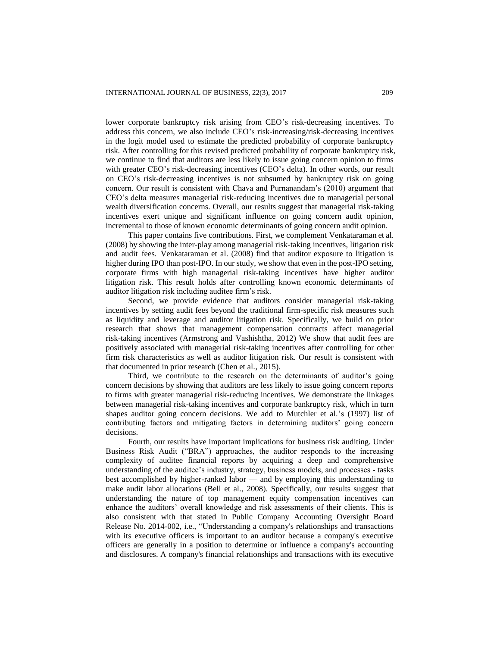lower corporate bankruptcy risk arising from CEO's risk-decreasing incentives. To address this concern, we also include CEO's risk-increasing/risk-decreasing incentives in the logit model used to estimate the predicted probability of corporate bankruptcy risk. After controlling for this revised predicted probability of corporate bankruptcy risk, we continue to find that auditors are less likely to issue going concern opinion to firms with greater CEO's risk-decreasing incentives (CEO's delta). In other words, our result on CEO's risk-decreasing incentives is not subsumed by bankruptcy risk on going concern. Our result is consistent with Chava and Purnanandam's (2010) argument that CEO's delta measures managerial risk-reducing incentives due to managerial personal wealth diversification concerns. Overall, our results suggest that managerial risk-taking incentives exert unique and significant influence on going concern audit opinion, incremental to those of known economic determinants of going concern audit opinion.

This paper contains five contributions. First, we complement Venkataraman et al. (2008) by showing the inter-play among managerial risk-taking incentives, litigation risk and audit fees. Venkataraman et al. (2008) find that auditor exposure to litigation is higher during IPO than post-IPO. In our study, we show that even in the post-IPO setting, corporate firms with high managerial risk-taking incentives have higher auditor litigation risk. This result holds after controlling known economic determinants of auditor litigation risk including auditee firm's risk.

Second, we provide evidence that auditors consider managerial risk-taking incentives by setting audit fees beyond the traditional firm-specific risk measures such as liquidity and leverage and auditor litigation risk. Specifically, we build on prior research that shows that management compensation contracts affect managerial risk-taking incentives (Armstrong and Vashishtha, 2012) We show that audit fees are positively associated with managerial risk-taking incentives after controlling for other firm risk characteristics as well as auditor litigation risk. Our result is consistent with that documented in prior research (Chen et al., 2015).

Third, we contribute to the research on the determinants of auditor's going concern decisions by showing that auditors are less likely to issue going concern reports to firms with greater managerial risk-reducing incentives. We demonstrate the linkages between managerial risk-taking incentives and corporate bankruptcy risk, which in turn shapes auditor going concern decisions. We add to Mutchler et al.'s (1997) list of contributing factors and mitigating factors in determining auditors' going concern decisions.

Fourth, our results have important implications for business risk auditing. Under Business Risk Audit ("BRA") approaches, the auditor responds to the increasing complexity of auditee financial reports by acquiring a deep and comprehensive understanding of the auditee's industry, strategy, business models, and processes - tasks best accomplished by higher-ranked labor — and by employing this understanding to make audit labor allocations (Bell et al., 2008). Specifically, our results suggest that understanding the nature of top management equity compensation incentives can enhance the auditors' overall knowledge and risk assessments of their clients. This is also consistent with that stated in Public Company Accounting Oversight Board Release No. 2014-002, i.e., "Understanding a company's relationships and transactions with its executive officers is important to an auditor because a company's executive officers are generally in a position to determine or influence a company's accounting and disclosures. A company's financial relationships and transactions with its executive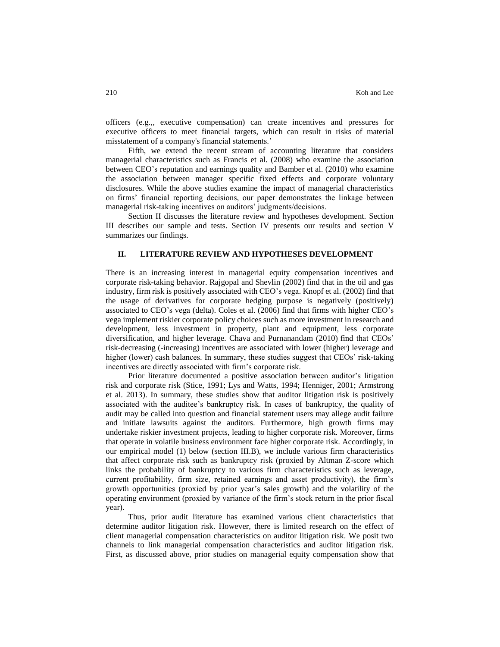officers (e.g.,, executive compensation) can create incentives and pressures for executive officers to meet financial targets, which can result in risks of material misstatement of a company's financial statements.'

Fifth, we extend the recent stream of accounting literature that considers managerial characteristics such as Francis et al. (2008) who examine the association between CEO's reputation and earnings quality and Bamber et al. (2010) who examine the association between manager specific fixed effects and corporate voluntary disclosures. While the above studies examine the impact of managerial characteristics on firms' financial reporting decisions, our paper demonstrates the linkage between managerial risk-taking incentives on auditors' judgments/decisions.

Section II discusses the literature review and hypotheses development. Section III describes our sample and tests. Section IV presents our results and section V summarizes our findings.

#### **II. LITERATURE REVIEW AND HYPOTHESES DEVELOPMENT**

There is an increasing interest in managerial equity compensation incentives and corporate risk-taking behavior. Rajgopal and Shevlin (2002) find that in the oil and gas industry, firm risk is positively associated with CEO's vega. Knopf et al. (2002) find that the usage of derivatives for corporate hedging purpose is negatively (positively) associated to CEO's vega (delta). Coles et al. (2006) find that firms with higher CEO's vega implement riskier corporate policy choices such as more investment in research and development, less investment in property, plant and equipment, less corporate diversification, and higher leverage. Chava and Purnanandam (2010) find that CEOs' risk-decreasing (-increasing) incentives are associated with lower (higher) leverage and higher (lower) cash balances. In summary, these studies suggest that CEOs' risk-taking incentives are directly associated with firm's corporate risk.

Prior literature documented a positive association between auditor's litigation risk and corporate risk (Stice, 1991; Lys and Watts, 1994; Henniger, 2001; Armstrong et al. 2013). In summary, these studies show that auditor litigation risk is positively associated with the auditee's bankruptcy risk. In cases of bankruptcy, the quality of audit may be called into question and financial statement users may allege audit failure and initiate lawsuits against the auditors. Furthermore, high growth firms may undertake riskier investment projects, leading to higher corporate risk. Moreover, firms that operate in volatile business environment face higher corporate risk. Accordingly, in our empirical model (1) below (section III.B), we include various firm characteristics that affect corporate risk such as bankruptcy risk (proxied by Altman Z-score which links the probability of bankruptcy to various firm characteristics such as leverage, current profitability, firm size, retained earnings and asset productivity), the firm's growth opportunities (proxied by prior year's sales growth) and the volatility of the operating environment (proxied by variance of the firm's stock return in the prior fiscal year).

Thus, prior audit literature has examined various client characteristics that determine auditor litigation risk. However, there is limited research on the effect of client managerial compensation characteristics on auditor litigation risk. We posit two channels to link managerial compensation characteristics and auditor litigation risk. First, as discussed above, prior studies on managerial equity compensation show that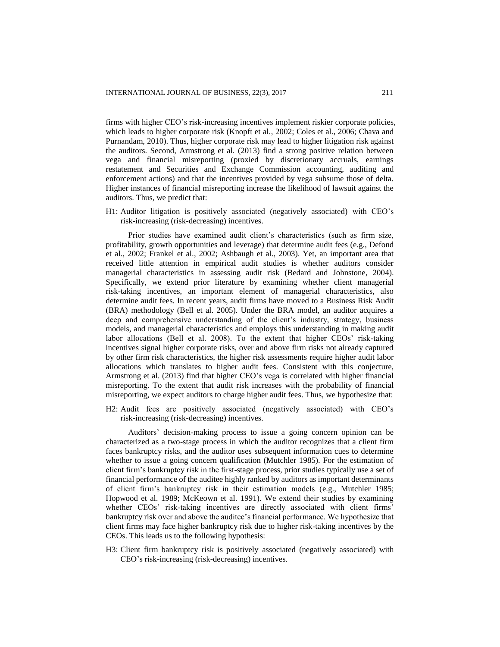firms with higher CEO's risk-increasing incentives implement riskier corporate policies, which leads to higher corporate risk (Knopft et al., 2002; Coles et al., 2006; Chava and Purnandam, 2010). Thus, higher corporate risk may lead to higher litigation risk against the auditors. Second, Armstrong et al. (2013) find a strong positive relation between vega and financial misreporting (proxied by discretionary accruals, earnings restatement and Securities and Exchange Commission accounting, auditing and enforcement actions) and that the incentives provided by vega subsume those of delta. Higher instances of financial misreporting increase the likelihood of lawsuit against the auditors. Thus, we predict that:

H1: Auditor litigation is positively associated (negatively associated) with CEO's risk-increasing (risk-decreasing) incentives.

Prior studies have examined audit client's characteristics (such as firm size, profitability, growth opportunities and leverage) that determine audit fees (e.g., Defond et al., 2002; Frankel et al., 2002; Ashbaugh et al., 2003). Yet, an important area that received little attention in empirical audit studies is whether auditors consider managerial characteristics in assessing audit risk (Bedard and Johnstone, 2004). Specifically, we extend prior literature by examining whether client managerial risk-taking incentives, an important element of managerial characteristics, also determine audit fees. In recent years, audit firms have moved to a Business Risk Audit (BRA) methodology (Bell et al. 2005). Under the BRA model, an auditor acquires a deep and comprehensive understanding of the client's industry, strategy, business models, and managerial characteristics and employs this understanding in making audit labor allocations (Bell et al. 2008). To the extent that higher CEOs' risk-taking incentives signal higher corporate risks, over and above firm risks not already captured by other firm risk characteristics, the higher risk assessments require higher audit labor allocations which translates to higher audit fees. Consistent with this conjecture, Armstrong et al. (2013) find that higher CEO's vega is correlated with higher financial misreporting. To the extent that audit risk increases with the probability of financial misreporting, we expect auditors to charge higher audit fees. Thus, we hypothesize that:

H2: Audit fees are positively associated (negatively associated) with CEO's risk-increasing (risk-decreasing) incentives.

Auditors' decision-making process to issue a going concern opinion can be characterized as a two-stage process in which the auditor recognizes that a client firm faces bankruptcy risks, and the auditor uses subsequent information cues to determine whether to issue a going concern qualification (Mutchler 1985). For the estimation of client firm's bankruptcy risk in the first-stage process, prior studies typically use a set of financial performance of the auditee highly ranked by auditors as important determinants of client firm's bankruptcy risk in their estimation models (e.g., Mutchler 1985; Hopwood et al. 1989; McKeown et al. 1991). We extend their studies by examining whether CEOs' risk-taking incentives are directly associated with client firms' bankruptcy risk over and above the auditee's financial performance. We hypothesize that client firms may face higher bankruptcy risk due to higher risk-taking incentives by the CEOs. This leads us to the following hypothesis:

H3: Client firm bankruptcy risk is positively associated (negatively associated) with CEO's risk-increasing (risk-decreasing) incentives.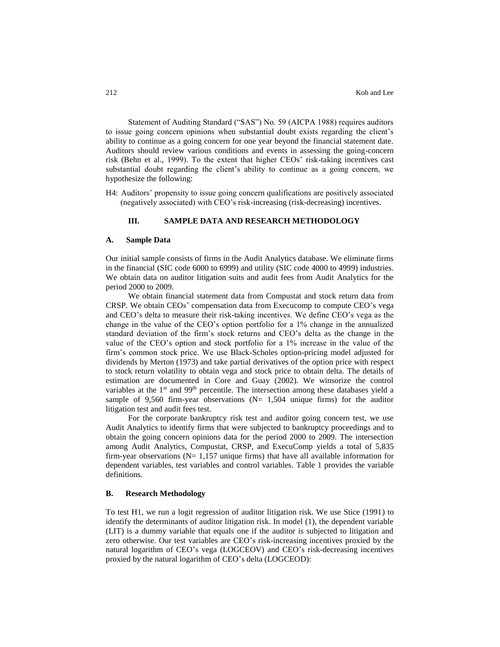Statement of Auditing Standard ("SAS") No. 59 (AICPA 1988) requires auditors to issue going concern opinions when substantial doubt exists regarding the client's ability to continue as a going concern for one year beyond the financial statement date. Auditors should review various conditions and events in assessing the going-concern risk (Behn et al., 1999). To the extent that higher CEOs' risk-taking incentives cast substantial doubt regarding the client's ability to continue as a going concern, we hypothesize the following:

H4: Auditors' propensity to issue going concern qualifications are positively associated (negatively associated) with CEO's risk-increasing (risk-decreasing) incentives.

# **III. SAMPLE DATA AND RESEARCH METHODOLOGY**

#### **A. Sample Data**

Our initial sample consists of firms in the Audit Analytics database. We eliminate firms in the financial (SIC code 6000 to 6999) and utility (SIC code 4000 to 4999) industries. We obtain data on auditor litigation suits and audit fees from Audit Analytics for the period 2000 to 2009.

We obtain financial statement data from Compustat and stock return data from CRSP. We obtain CEOs' compensation data from Execucomp to compute CEO's vega and CEO's delta to measure their risk-taking incentives. We define CEO's vega as the change in the value of the CEO's option portfolio for a 1% change in the annualized standard deviation of the firm's stock returns and CEO's delta as the change in the value of the CEO's option and stock portfolio for a 1% increase in the value of the firm's common stock price. We use Black-Scholes option-pricing model adjusted for dividends by Merton (1973) and take partial derivatives of the option price with respect to stock return volatility to obtain vega and stock price to obtain delta. The details of estimation are documented in Core and Guay (2002). We winsorize the control variables at the  $1<sup>st</sup>$  and 99<sup>th</sup> percentile. The intersection among these databases yield a sample of 9,560 firm-year observations  $(N= 1,504)$  unique firms) for the auditor litigation test and audit fees test.

For the corporate bankruptcy risk test and auditor going concern test, we use Audit Analytics to identify firms that were subjected to bankruptcy proceedings and to obtain the going concern opinions data for the period 2000 to 2009. The intersection among Audit Analytics, Compustat, CRSP, and ExecuComp yields a total of 5,835 firm-year observations  $(N= 1,157)$  unique firms) that have all available information for dependent variables, test variables and control variables. Table 1 provides the variable definitions.

#### **B. Research Methodology**

To test H1, we run a logit regression of auditor litigation risk. We use Stice (1991) to identify the determinants of auditor litigation risk. In model (1), the dependent variable (LIT) is a dummy variable that equals one if the auditor is subjected to litigation and zero otherwise. Our test variables are CEO's risk-increasing incentives proxied by the natural logarithm of CEO's vega (LOGCEOV) and CEO's risk-decreasing incentives proxied by the natural logarithm of CEO's delta (LOGCEOD):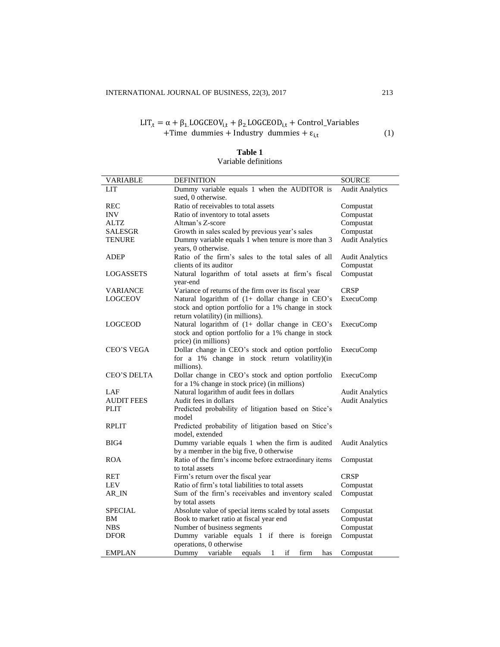# LIT<sub>,t</sub> =  $\alpha + \beta_1$ .LOGCEOV<sub>i,t</sub> +  $\beta_2$ .LOGCEOD<sub>i,t</sub> + Control\_Variables +Time dummies + Industry dummies +  $\varepsilon_{i,t}$  (1)

| <b>VARIABLE</b>   | <b>DEFINITION</b>                                                                                                                           | <b>SOURCE</b>                                    |
|-------------------|---------------------------------------------------------------------------------------------------------------------------------------------|--------------------------------------------------|
| LIT               | Dummy variable equals 1 when the AUDITOR is                                                                                                 | <b>Audit Analytics</b>                           |
|                   | sued, 0 otherwise.                                                                                                                          |                                                  |
| <b>REC</b>        | Ratio of receivables to total assets                                                                                                        | Compustat                                        |
| <b>INV</b>        | Ratio of inventory to total assets                                                                                                          | Compustat                                        |
| <b>ALTZ</b>       | Altman's Z-score                                                                                                                            | Compustat                                        |
| <b>SALESGR</b>    | Growth in sales scaled by previous year's sales                                                                                             | Compustat                                        |
| <b>TENURE</b>     | Dummy variable equals 1 when tenure is more than 3<br>years, 0 otherwise.                                                                   | <b>Audit Analytics</b>                           |
| <b>ADEP</b>       | Ratio of the firm's sales to the total sales of all                                                                                         | <b>Audit Analytics</b>                           |
|                   | clients of its auditor                                                                                                                      | Compustat                                        |
| LOGASSETS         | Natural logarithm of total assets at firm's fiscal<br>year-end                                                                              | Compustat                                        |
| <b>VARIANCE</b>   | Variance of returns of the firm over its fiscal year                                                                                        | <b>CRSP</b>                                      |
| LOGCEOV           | Natural logarithm of (1+ dollar change in CEO's<br>stock and option portfolio for a 1% change in stock<br>return volatility) (in millions). | <b>ExecuComp</b>                                 |
| <b>LOGCEOD</b>    | Natural logarithm of (1+ dollar change in CEO's<br>stock and option portfolio for a 1% change in stock<br>price) (in millions)              | <b>ExecuComp</b>                                 |
| CEO'S VEGA        | Dollar change in CEO's stock and option portfolio<br>for a 1% change in stock return volatility)(in                                         | <b>ExecuComp</b>                                 |
|                   | millions).                                                                                                                                  |                                                  |
| CEO'S DELTA       | Dollar change in CEO's stock and option portfolio                                                                                           | <b>ExecuComp</b>                                 |
| LAF               | for a 1% change in stock price) (in millions)<br>Natural logarithm of audit fees in dollars                                                 |                                                  |
| <b>AUDIT FEES</b> | Audit fees in dollars                                                                                                                       | <b>Audit Analytics</b><br><b>Audit Analytics</b> |
| <b>PLIT</b>       | Predicted probability of litigation based on Stice's                                                                                        |                                                  |
|                   | model                                                                                                                                       |                                                  |
| <b>RPLIT</b>      | Predicted probability of litigation based on Stice's<br>model, extended                                                                     |                                                  |
| BIG4              | Dummy variable equals 1 when the firm is audited                                                                                            | <b>Audit Analytics</b>                           |
|                   | by a member in the big five, 0 otherwise                                                                                                    |                                                  |
| <b>ROA</b>        | Ratio of the firm's income before extraordinary items<br>to total assets                                                                    | Compustat                                        |
| RET               | Firm's return over the fiscal year                                                                                                          | <b>CRSP</b>                                      |
| LEV               | Ratio of firm's total liabilities to total assets                                                                                           | Compustat                                        |
| AR_IN             | Sum of the firm's receivables and inventory scaled                                                                                          | Compustat                                        |
|                   | by total assets                                                                                                                             |                                                  |
| <b>SPECIAL</b>    | Absolute value of special items scaled by total assets                                                                                      | Compustat                                        |
| BМ                | Book to market ratio at fiscal year end                                                                                                     | Compustat                                        |
| <b>NBS</b>        | Number of business segments                                                                                                                 | Compustat                                        |
| <b>DFOR</b>       | Dummy variable equals 1 if there is foreign                                                                                                 | Compustat                                        |
|                   | operations, 0 otherwise                                                                                                                     |                                                  |
| <b>EMPLAN</b>     | if<br>Dummy<br>variable<br>equals<br>firm<br>1<br>has                                                                                       | Compustat                                        |

# **Table 1**

# Variable definitions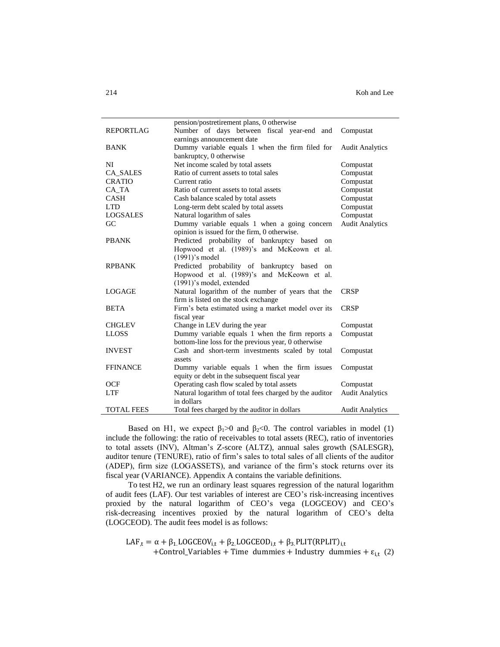|                   | pension/postretirement plans, 0 otherwise              |                        |
|-------------------|--------------------------------------------------------|------------------------|
| <b>REPORTLAG</b>  | Number of days between fiscal year-end<br>and          | Compustat              |
|                   | earnings announcement date                             |                        |
| <b>BANK</b>       | Dummy variable equals 1 when the firm filed for        | <b>Audit Analytics</b> |
|                   | bankruptcy, 0 otherwise                                |                        |
| NI                | Net income scaled by total assets                      | Compustat              |
| CA_SALES          | Ratio of current assets to total sales                 | Compustat              |
| <b>CRATIO</b>     | Current ratio                                          | Compustat              |
| CA_TA             | Ratio of current assets to total assets                | Compustat              |
| <b>CASH</b>       | Cash balance scaled by total assets                    | Compustat              |
| <b>LTD</b>        | Long-term debt scaled by total assets                  | Compustat              |
| <b>LOGSALES</b>   | Natural logarithm of sales                             | Compustat              |
| GC                | Dummy variable equals 1 when a going concern           | <b>Audit Analytics</b> |
|                   | opinion is issued for the firm, 0 otherwise.           |                        |
| <b>PBANK</b>      | Predicted probability of bankruptcy based<br>$\alpha$  |                        |
|                   | Hopwood et al. (1989)'s and McKeown et al.             |                        |
|                   | (1991)'s model                                         |                        |
| <b>RPBANK</b>     | Predicted probability of bankruptcy based<br>on        |                        |
|                   | Hopwood et al. (1989)'s and McKeown et al.             |                        |
|                   | (1991)'s model, extended                               |                        |
| LOGAGE            | Natural logarithm of the number of years that the      | <b>CRSP</b>            |
|                   | firm is listed on the stock exchange                   |                        |
| <b>BETA</b>       | Firm's beta estimated using a market model over its    | <b>CRSP</b>            |
|                   | fiscal year                                            |                        |
| <b>CHGLEV</b>     | Change in LEV during the year                          | Compustat              |
| <b>LLOSS</b>      | Dummy variable equals 1 when the firm reports a        | Compustat              |
|                   | bottom-line loss for the previous year, 0 otherwise    |                        |
| <b>INVEST</b>     | Cash and short-term investments scaled by total        | Compustat              |
|                   | assets                                                 |                        |
| <b>FFINANCE</b>   | Dummy variable equals 1 when the firm issues           | Compustat              |
|                   | equity or debt in the subsequent fiscal year           |                        |
| <b>OCF</b>        | Operating cash flow scaled by total assets             | Compustat              |
| <b>LTF</b>        | Natural logarithm of total fees charged by the auditor | <b>Audit Analytics</b> |
|                   | in dollars                                             |                        |
| <b>TOTAL FEES</b> | Total fees charged by the auditor in dollars           | <b>Audit Analytics</b> |

Based on H1, we expect  $\beta_1 > 0$  and  $\beta_2 < 0$ . The control variables in model (1) include the following: the ratio of receivables to total assets (REC), ratio of inventories to total assets (INV), Altman's Z-score (ALTZ), annual sales growth (SALESGR), auditor tenure (TENURE), ratio of firm's sales to total sales of all clients of the auditor (ADEP), firm size (LOGASSETS), and variance of the firm's stock returns over its fiscal year (VARIANCE). Appendix A contains the variable definitions.

To test H2, we run an ordinary least squares regression of the natural logarithm of audit fees (LAF). Our test variables of interest are CEO's risk-increasing incentives proxied by the natural logarithm of CEO's vega (LOGCEOV) and CEO's risk-decreasing incentives proxied by the natural logarithm of CEO's delta (LOGCEOD). The audit fees model is as follows:

LAF<sub>,t</sub> =  $\alpha + \beta_1$ LOGCEOV<sub>i,t</sub> +  $\beta_2$ LOGCEOD<sub>i,t</sub> +  $\beta_3$ PLIT(RPLIT)<sub>i,t</sub> +Control\_Variables + Time dummies + Industry dummies +  $\varepsilon_{i,t}$  (2)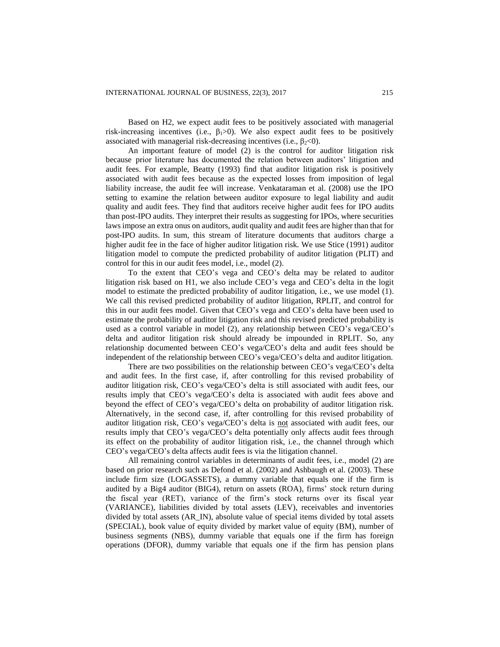Based on H2, we expect audit fees to be positively associated with managerial risk-increasing incentives (i.e.,  $\beta_1 > 0$ ). We also expect audit fees to be positively associated with managerial risk-decreasing incentives (i.e.,  $\beta_2 \le 0$ ).

An important feature of model (2) is the control for auditor litigation risk because prior literature has documented the relation between auditors' litigation and audit fees. For example, Beatty (1993) find that auditor litigation risk is positively associated with audit fees because as the expected losses from imposition of legal liability increase, the audit fee will increase. Venkataraman et al. (2008) use the IPO setting to examine the relation between auditor exposure to legal liability and audit quality and audit fees. They find that auditors receive higher audit fees for IPO audits than post-IPO audits. They interpret their results as suggesting for IPOs, where securities laws impose an extra onus on auditors, audit quality and audit fees are higher than that for post-IPO audits. In sum, this stream of literature documents that auditors charge a higher audit fee in the face of higher auditor litigation risk. We use Stice (1991) auditor litigation model to compute the predicted probability of auditor litigation (PLIT) and control for this in our audit fees model, i.e., model (2).

To the extent that CEO's vega and CEO's delta may be related to auditor litigation risk based on H1, we also include CEO's vega and CEO's delta in the logit model to estimate the predicted probability of auditor litigation, i.e., we use model (1). We call this revised predicted probability of auditor litigation, RPLIT, and control for this in our audit fees model. Given that CEO's vega and CEO's delta have been used to estimate the probability of auditor litigation risk and this revised predicted probability is used as a control variable in model (2), any relationship between CEO's vega/CEO's delta and auditor litigation risk should already be impounded in RPLIT. So, any relationship documented between CEO's vega/CEO's delta and audit fees should be independent of the relationship between CEO's vega/CEO's delta and auditor litigation.

There are two possibilities on the relationship between CEO's vega/CEO's delta and audit fees. In the first case, if, after controlling for this revised probability of auditor litigation risk, CEO's vega/CEO's delta is still associated with audit fees, our results imply that CEO's vega/CEO's delta is associated with audit fees above and beyond the effect of CEO's vega/CEO's delta on probability of auditor litigation risk. Alternatively, in the second case, if, after controlling for this revised probability of auditor litigation risk, CEO's vega/CEO's delta is not associated with audit fees, our results imply that CEO's vega/CEO's delta potentially only affects audit fees through its effect on the probability of auditor litigation risk, i.e., the channel through which CEO's vega/CEO's delta affects audit fees is via the litigation channel.

All remaining control variables in determinants of audit fees, i.e., model (2) are based on prior research such as Defond et al. (2002) and Ashbaugh et al. (2003). These include firm size (LOGASSETS), a dummy variable that equals one if the firm is audited by a Big4 auditor (BIG4), return on assets (ROA), firms' stock return during the fiscal year (RET), variance of the firm's stock returns over its fiscal year (VARIANCE), liabilities divided by total assets (LEV), receivables and inventories divided by total assets (AR\_IN), absolute value of special items divided by total assets (SPECIAL), book value of equity divided by market value of equity (BM), number of business segments (NBS), dummy variable that equals one if the firm has foreign operations (DFOR), dummy variable that equals one if the firm has pension plans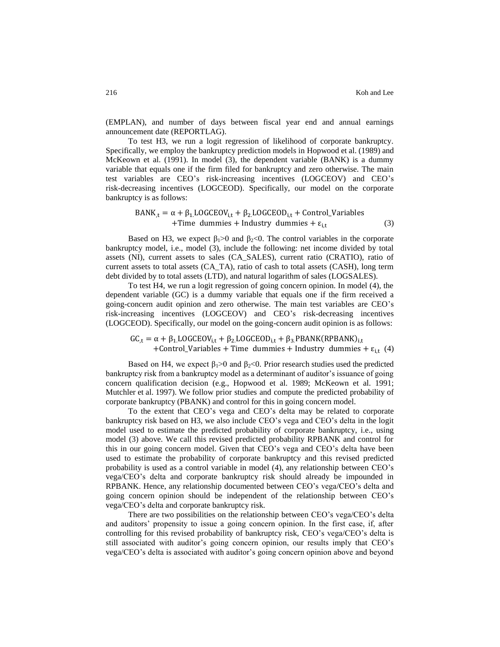(EMPLAN), and number of days between fiscal year end and annual earnings announcement date (REPORTLAG).

To test H3, we run a logit regression of likelihood of corporate bankruptcy. Specifically, we employ the bankruptcy prediction models in Hopwood et al. (1989) and McKeown et al. (1991). In model (3), the dependent variable (BANK) is a dummy variable that equals one if the firm filed for bankruptcy and zero otherwise. The main test variables are CEO's risk-increasing incentives (LOGCEOV) and CEO's risk-decreasing incentives (LOGCEOD). Specifically, our model on the corporate bankruptcy is as follows:

$$
BANK_{,t} = \alpha + \beta_{1} LOGCEOV_{i,t} + \beta_{2}LOGCEOD_{i,t} + Control_Variables
$$
  
+Time dummies + Industry dummies +  $\varepsilon_{i,t}$  (3)

Based on H3, we expect  $\beta_1>0$  and  $\beta_2<0$ . The control variables in the corporate bankruptcy model, i.e., model (3), include the following: net income divided by total assets (NI), current assets to sales (CA\_SALES), current ratio (CRATIO), ratio of current assets to total assets (CA\_TA), ratio of cash to total assets (CASH), long term debt divided by to total assets (LTD), and natural logarithm of sales (LOGSALES).

To test H4, we run a logit regression of going concern opinion. In model (4), the dependent variable (GC) is a dummy variable that equals one if the firm received a going-concern audit opinion and zero otherwise. The main test variables are CEO's risk-increasing incentives (LOGCEOV) and CEO's risk-decreasing incentives (LOGCEOD). Specifically, our model on the going-concern audit opinion is as follows:

 $GC_{,t} = \alpha + \beta_1 LOGCEOV_{i,t} + \beta_2 LOGCEOD_{i,t} + \beta_3.PBANK(RPBANK)<sub>i,t</sub>$ +Control\_Variables + Time dummies + Industry dummies +  $\varepsilon_{i,t}$  (4)

Based on H4, we expect  $\beta_1 > 0$  and  $\beta_2 < 0$ . Prior research studies used the predicted bankruptcy risk from a bankruptcy model as a determinant of auditor's issuance of going concern qualification decision (e.g., Hopwood et al. 1989; McKeown et al. 1991; Mutchler et al. 1997). We follow prior studies and compute the predicted probability of corporate bankruptcy (PBANK) and control for this in going concern model.

To the extent that CEO's vega and CEO's delta may be related to corporate bankruptcy risk based on H3, we also include CEO's vega and CEO's delta in the logit model used to estimate the predicted probability of corporate bankruptcy, i.e., using model (3) above. We call this revised predicted probability RPBANK and control for this in our going concern model. Given that CEO's vega and CEO's delta have been used to estimate the probability of corporate bankruptcy and this revised predicted probability is used as a control variable in model (4), any relationship between CEO's vega/CEO's delta and corporate bankruptcy risk should already be impounded in RPBANK. Hence, any relationship documented between CEO's vega/CEO's delta and going concern opinion should be independent of the relationship between CEO's vega/CEO's delta and corporate bankruptcy risk.

There are two possibilities on the relationship between CEO's vega/CEO's delta and auditors' propensity to issue a going concern opinion. In the first case, if, after controlling for this revised probability of bankruptcy risk, CEO's vega/CEO's delta is still associated with auditor's going concern opinion, our results imply that CEO's vega/CEO's delta is associated with auditor's going concern opinion above and beyond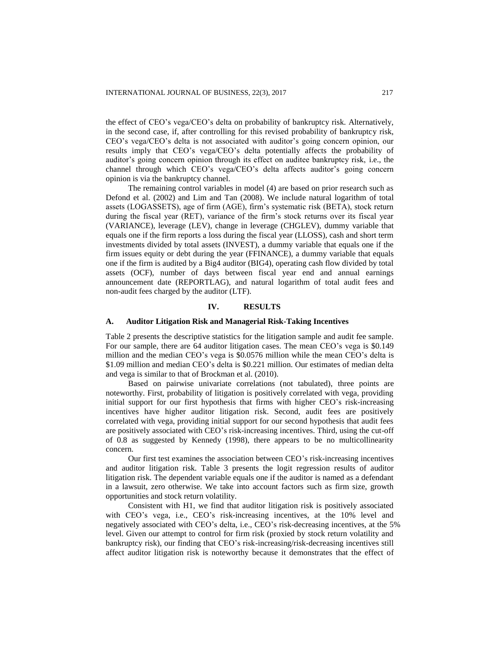the effect of CEO's vega/CEO's delta on probability of bankruptcy risk. Alternatively, in the second case, if, after controlling for this revised probability of bankruptcy risk, CEO's vega/CEO's delta is not associated with auditor's going concern opinion, our results imply that CEO's vega/CEO's delta potentially affects the probability of auditor's going concern opinion through its effect on auditee bankruptcy risk, i.e., the channel through which CEO's vega/CEO's delta affects auditor's going concern opinion is via the bankruptcy channel.

The remaining control variables in model (4) are based on prior research such as Defond et al. (2002) and Lim and Tan (2008). We include natural logarithm of total assets (LOGASSETS), age of firm (AGE), firm's systematic risk (BETA), stock return during the fiscal year (RET), variance of the firm's stock returns over its fiscal year (VARIANCE), leverage (LEV), change in leverage (CHGLEV), dummy variable that equals one if the firm reports a loss during the fiscal year (LLOSS), cash and short term investments divided by total assets (INVEST), a dummy variable that equals one if the firm issues equity or debt during the year (FFINANCE), a dummy variable that equals one if the firm is audited by a Big4 auditor (BIG4), operating cash flow divided by total assets (OCF), number of days between fiscal year end and annual earnings announcement date (REPORTLAG), and natural logarithm of total audit fees and non-audit fees charged by the auditor (LTF).

#### **IV. RESULTS**

#### **A. Auditor Litigation Risk and Managerial Risk-Taking Incentives**

Table 2 presents the descriptive statistics for the litigation sample and audit fee sample. For our sample, there are 64 auditor litigation cases. The mean CEO's vega is \$0.149 million and the median CEO's vega is \$0.0576 million while the mean CEO's delta is \$1.09 million and median CEO's delta is \$0.221 million. Our estimates of median delta and vega is similar to that of Brockman et al. (2010).

Based on pairwise univariate correlations (not tabulated), three points are noteworthy. First, probability of litigation is positively correlated with vega, providing initial support for our first hypothesis that firms with higher CEO's risk-increasing incentives have higher auditor litigation risk. Second, audit fees are positively correlated with vega, providing initial support for our second hypothesis that audit fees are positively associated with CEO's risk-increasing incentives. Third, using the cut-off of 0.8 as suggested by Kennedy (1998), there appears to be no multicollinearity concern.

Our first test examines the association between CEO's risk-increasing incentives and auditor litigation risk. Table 3 presents the logit regression results of auditor litigation risk. The dependent variable equals one if the auditor is named as a defendant in a lawsuit, zero otherwise. We take into account factors such as firm size, growth opportunities and stock return volatility.

Consistent with H1, we find that auditor litigation risk is positively associated with CEO's vega, i.e., CEO's risk-increasing incentives, at the 10% level and negatively associated with CEO's delta, i.e., CEO's risk-decreasing incentives, at the 5% level. Given our attempt to control for firm risk (proxied by stock return volatility and bankruptcy risk), our finding that CEO's risk-increasing/risk-decreasing incentives still affect auditor litigation risk is noteworthy because it demonstrates that the effect of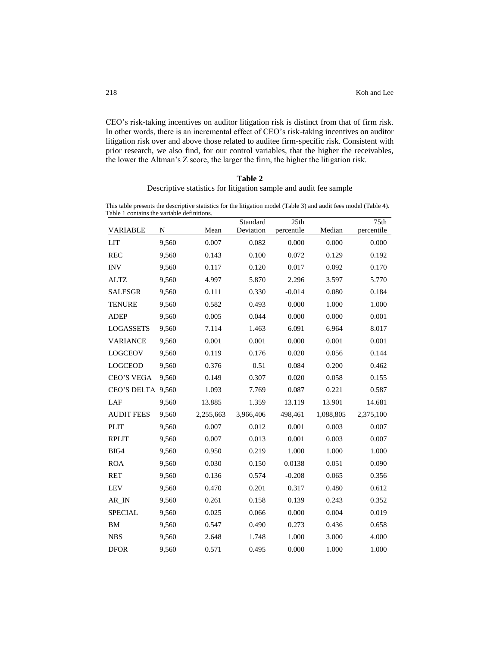CEO's risk-taking incentives on auditor litigation risk is distinct from that of firm risk. In other words, there is an incremental effect of CEO's risk-taking incentives on auditor litigation risk over and above those related to auditee firm-specific risk. Consistent with prior research, we also find, for our control variables, that the higher the receivables, the lower the Altman's Z score, the larger the firm, the higher the litigation risk.

#### **Table 2**

Descriptive statistics for litigation sample and audit fee sample

This table presents the descriptive statistics for the litigation model (Table 3) and audit fees model (Table 4). Table 1 contains the variable definitions.

| $\alpha$ and $\alpha$ contains the variable definitions. |       |           | Standard  | 25th       |           | 75 <sub>th</sub> |
|----------------------------------------------------------|-------|-----------|-----------|------------|-----------|------------------|
| <b>VARIABLE</b>                                          | N     | Mean      | Deviation | percentile | Median    | percentile       |
| <b>LIT</b>                                               | 9,560 | 0.007     | 0.082     | 0.000      | 0.000     | 0.000            |
| <b>REC</b>                                               | 9,560 | 0.143     | 0.100     | 0.072      | 0.129     | 0.192            |
| <b>INV</b>                                               | 9,560 | 0.117     | 0.120     | 0.017      | 0.092     | 0.170            |
| <b>ALTZ</b>                                              | 9,560 | 4.997     | 5.870     | 2.296      | 3.597     | 5.770            |
| <b>SALESGR</b>                                           | 9,560 | 0.111     | 0.330     | $-0.014$   | 0.080     | 0.184            |
| <b>TENURE</b>                                            | 9,560 | 0.582     | 0.493     | 0.000      | 1.000     | 1.000            |
| <b>ADEP</b>                                              | 9,560 | 0.005     | 0.044     | 0.000      | 0.000     | 0.001            |
| <b>LOGASSETS</b>                                         | 9,560 | 7.114     | 1.463     | 6.091      | 6.964     | 8.017            |
| <b>VARIANCE</b>                                          | 9,560 | 0.001     | 0.001     | 0.000      | 0.001     | 0.001            |
| <b>LOGCEOV</b>                                           | 9,560 | 0.119     | 0.176     | 0.020      | 0.056     | 0.144            |
| <b>LOGCEOD</b>                                           | 9,560 | 0.376     | 0.51      | 0.084      | 0.200     | 0.462            |
| <b>CEO'S VEGA</b>                                        | 9,560 | 0.149     | 0.307     | 0.020      | 0.058     | 0.155            |
| CEO'S DELTA 9,560                                        |       | 1.093     | 7.769     | 0.087      | 0.221     | 0.587            |
| LAF                                                      | 9,560 | 13.885    | 1.359     | 13.119     | 13.901    | 14.681           |
| <b>AUDIT FEES</b>                                        | 9,560 | 2,255,663 | 3,966,406 | 498,461    | 1,088,805 | 2,375,100        |
| <b>PLIT</b>                                              | 9,560 | 0.007     | 0.012     | 0.001      | 0.003     | 0.007            |
| <b>RPLIT</b>                                             | 9,560 | 0.007     | 0.013     | 0.001      | 0.003     | 0.007            |
| BIG4                                                     | 9,560 | 0.950     | 0.219     | 1.000      | 1.000     | 1.000            |
| <b>ROA</b>                                               | 9,560 | 0.030     | 0.150     | 0.0138     | 0.051     | 0.090            |
| RET                                                      | 9,560 | 0.136     | 0.574     | $-0.208$   | 0.065     | 0.356            |
| <b>LEV</b>                                               | 9,560 | 0.470     | 0.201     | 0.317      | 0.480     | 0.612            |
| AR IN                                                    | 9,560 | 0.261     | 0.158     | 0.139      | 0.243     | 0.352            |
| <b>SPECIAL</b>                                           | 9,560 | 0.025     | 0.066     | 0.000      | 0.004     | 0.019            |
| BM                                                       | 9,560 | 0.547     | 0.490     | 0.273      | 0.436     | 0.658            |
| <b>NBS</b>                                               | 9,560 | 2.648     | 1.748     | 1.000      | 3.000     | 4.000            |
| <b>DFOR</b>                                              | 9,560 | 0.571     | 0.495     | 0.000      | 1.000     | 1.000            |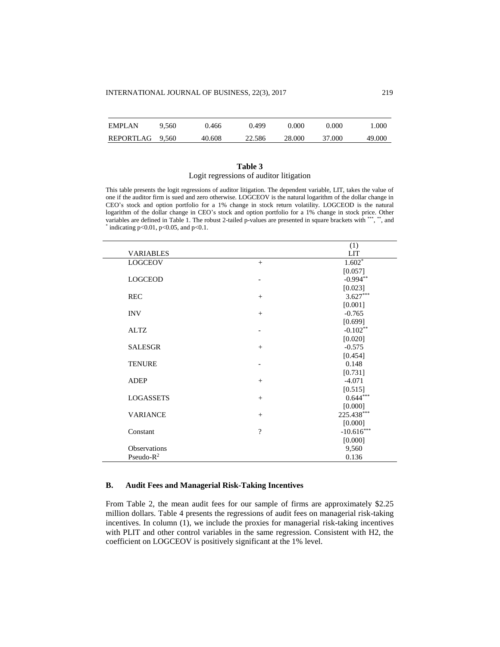| <b>EMPLAN</b>   | 9.560 | 0.466  | 0.499  | 0.000  | 0.000  | .000   |
|-----------------|-------|--------|--------|--------|--------|--------|
| REPORTLAG 9.560 |       | 40.608 | 22.586 | 28,000 | 37.000 | 49.000 |

## **Table 3** Logit regressions of auditor litigation

This table presents the logit regressions of auditor litigation. The dependent variable, LIT, takes the value of one if the auditor firm is sued and zero otherwise. LOGCEOV is the natural logarithm of the dollar change in CEO's stock and option portfolio for a 1% change in stock return volatility. LOGCEOD is the natural logarithm of the dollar change in CEO's stock and option portfolio for a 1% change in stock price. Other variables are defined in Table 1. The robust 2-tailed p-values are presented in square brackets with \*\*\*, \*\*, and  $*$  indicating p<0.01, p<0.05, and p<0.1.

|                  |          | (1)          |
|------------------|----------|--------------|
| <b>VARIABLES</b> |          | <b>LIT</b>   |
| <b>LOGCEOV</b>   | $+$      | $1.602*$     |
|                  |          | [0.057]      |
| <b>LOGCEOD</b>   |          | $-0.994**$   |
|                  |          | [0.023]      |
| <b>REC</b>       | $^{+}$   | $3.627***$   |
|                  |          | [0.001]      |
| <b>INV</b>       | $+$      | $-0.765$     |
|                  |          | [0.699]      |
| <b>ALTZ</b>      |          | $-0.102**$   |
|                  |          | [0.020]      |
| <b>SALESGR</b>   | $+$      | $-0.575$     |
|                  |          | [0.454]      |
| <b>TENURE</b>    |          | 0.148        |
|                  |          | [0.731]      |
| <b>ADEP</b>      | $+$      | $-4.071$     |
|                  |          | [0.515]      |
| <b>LOGASSETS</b> | $+$      | $0.644***$   |
|                  |          | [0.000]      |
| <b>VARIANCE</b>  | $+$      | 225.438***   |
|                  |          | [0.000]      |
| Constant         | $\gamma$ | $-10.616***$ |
|                  |          | [0.000]      |
| Observations     |          | 9,560        |
| Pseudo- $R^2$    |          | 0.136        |

# **B. Audit Fees and Managerial Risk-Taking Incentives**

From Table 2, the mean audit fees for our sample of firms are approximately \$2.25 million dollars. Table 4 presents the regressions of audit fees on managerial risk-taking incentives. In column (1), we include the proxies for managerial risk-taking incentives with PLIT and other control variables in the same regression. Consistent with H2, the coefficient on LOGCEOV is positively significant at the 1% level.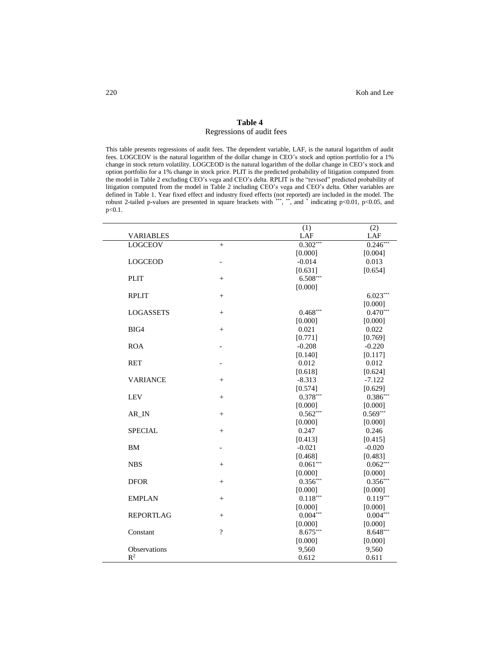# **Table 4** Regressions of audit fees

This table presents regressions of audit fees. The dependent variable, LAF, is the natural logarithm of audit fees. LOGCEOV is the natural logarithm of the dollar change in CEO's stock and option portfolio for a 1% change in stock return volatility. LOGCEOD is the natural logarithm of the dollar change in CEO's stock and option portfolio for a 1% change in stock price. PLIT is the predicted probability of litigation computed from the model in Table 2 excluding CEO's vega and CEO's delta. RPLIT is the "revised" predicted probability of litigation computed from the model in Table 2 including CEO's vega and CEO's delta. Other variables are defined in Table 1. Year fixed effect and industry fixed effects (not reported) are included in the model. The robust 2-tailed p-values are presented in square brackets with \*\*\*, \*\*\*, and \* indicating p<0.01, p<0.05, and p<0.1.

|                    |                          | (1)        | (2)        |
|--------------------|--------------------------|------------|------------|
| <b>VARIABLES</b>   |                          | LAF        | LAF        |
| <b>LOGCEOV</b>     | $^{+}$                   | $0.302***$ | $0.246***$ |
|                    |                          | [0.000]    | [0.004]    |
| <b>LOGCEOD</b>     |                          | $-0.014$   | 0.013      |
|                    |                          | [0.631]    | [0.654]    |
| <b>PLIT</b>        | $^{+}$                   | 6.508***   |            |
|                    |                          | [0.000]    |            |
| <b>RPLIT</b>       | $^{+}$                   |            | $6.023***$ |
|                    |                          |            | [0.000]    |
| <b>LOGASSETS</b>   | $^{+}$                   | $0.468***$ | $0.470***$ |
|                    |                          | [0.000]    | [0.000]    |
| BIG4               | $^{+}$                   | 0.021      | 0.022      |
|                    |                          | [0.771]    | [0.769]    |
| <b>ROA</b>         |                          | $-0.208$   | $-0.220$   |
|                    |                          | [0.140]    | [0.117]    |
| <b>RET</b>         |                          | 0.012      | 0.012      |
|                    |                          | [0.618]    | [0.624]    |
| <b>VARIANCE</b>    | $^{+}$                   | $-8.313$   | $-7.122$   |
|                    |                          | [0.574]    | [0.629]    |
| <b>LEV</b>         | $^{+}$                   | $0.378***$ | $0.386***$ |
|                    |                          | [0.000]    | [0.000]    |
| $AR$ <sub>IN</sub> | $\! + \!\!\!\!$          | $0.562***$ | $0.569***$ |
|                    |                          | [0.000]    | [0.000]    |
| <b>SPECIAL</b>     | $+$                      | 0.247      | 0.246      |
|                    |                          | [0.413]    | [0.415]    |
| <b>BM</b>          |                          | $-0.021$   | $-0.020$   |
|                    |                          | [0.468]    | [0.483]    |
| <b>NBS</b>         | $+$                      | $0.061***$ | $0.062***$ |
|                    |                          | [0.000]    | [0.000]    |
| <b>DFOR</b>        | $^{+}$                   | $0.356***$ | $0.356***$ |
|                    |                          | [0.000]    | [0.000]    |
| <b>EMPLAN</b>      | $^{+}$                   | $0.118***$ | $0.119***$ |
|                    |                          | [0.000]    | [0.000]    |
| <b>REPORTLAG</b>   | $^{+}$                   | $0.004***$ | $0.004***$ |
|                    |                          | [0.000]    | [0.000]    |
| Constant           | $\overline{\mathcal{L}}$ | 8.675***   | 8.648***   |
|                    |                          | [0.000]    | [0.000]    |
| Observations       |                          | 9,560      | 9,560      |
| $\mathbb{R}^2$     |                          | 0.612      | 0.611      |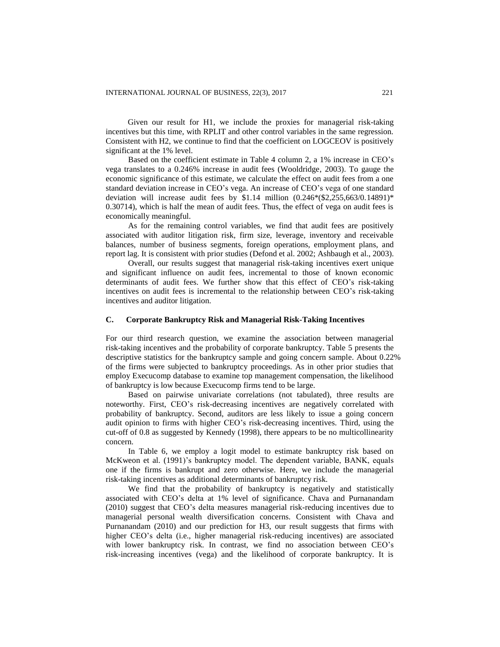Given our result for H1, we include the proxies for managerial risk-taking incentives but this time, with RPLIT and other control variables in the same regression. Consistent with H2, we continue to find that the coefficient on LOGCEOV is positively significant at the 1% level.

Based on the coefficient estimate in Table 4 column 2, a 1% increase in CEO's vega translates to a 0.246% increase in audit fees (Wooldridge, 2003). To gauge the economic significance of this estimate, we calculate the effect on audit fees from a one standard deviation increase in CEO's vega. An increase of CEO's vega of one standard deviation will increase audit fees by \$1.14 million  $(0.246*(\$2,255,663/0.14891)*$ 0.30714), which is half the mean of audit fees. Thus, the effect of vega on audit fees is economically meaningful.

As for the remaining control variables, we find that audit fees are positively associated with auditor litigation risk, firm size, leverage, inventory and receivable balances, number of business segments, foreign operations, employment plans, and report lag. It is consistent with prior studies (Defond et al. 2002; Ashbaugh et al., 2003).

Overall, our results suggest that managerial risk-taking incentives exert unique and significant influence on audit fees, incremental to those of known economic determinants of audit fees. We further show that this effect of CEO's risk-taking incentives on audit fees is incremental to the relationship between CEO's risk-taking incentives and auditor litigation.

#### **C. Corporate Bankruptcy Risk and Managerial Risk-Taking Incentives**

For our third research question, we examine the association between managerial risk-taking incentives and the probability of corporate bankruptcy. Table 5 presents the descriptive statistics for the bankruptcy sample and going concern sample. About 0.22% of the firms were subjected to bankruptcy proceedings. As in other prior studies that employ Execucomp database to examine top management compensation, the likelihood of bankruptcy is low because Execucomp firms tend to be large.

Based on pairwise univariate correlations (not tabulated), three results are noteworthy. First, CEO's risk-decreasing incentives are negatively correlated with probability of bankruptcy. Second, auditors are less likely to issue a going concern audit opinion to firms with higher CEO's risk-decreasing incentives. Third, using the cut-off of 0.8 as suggested by Kennedy (1998), there appears to be no multicollinearity concern.

In Table 6, we employ a logit model to estimate bankruptcy risk based on McKweon et al. (1991)'s bankruptcy model. The dependent variable, BANK, equals one if the firms is bankrupt and zero otherwise. Here, we include the managerial risk-taking incentives as additional determinants of bankruptcy risk.

We find that the probability of bankruptcy is negatively and statistically associated with CEO's delta at 1% level of significance. Chava and Purnanandam (2010) suggest that CEO's delta measures managerial risk-reducing incentives due to managerial personal wealth diversification concerns. Consistent with Chava and Purnanandam (2010) and our prediction for H3, our result suggests that firms with higher CEO's delta (i.e., higher managerial risk-reducing incentives) are associated with lower bankruptcy risk. In contrast, we find no association between CEO's risk-increasing incentives (vega) and the likelihood of corporate bankruptcy. It is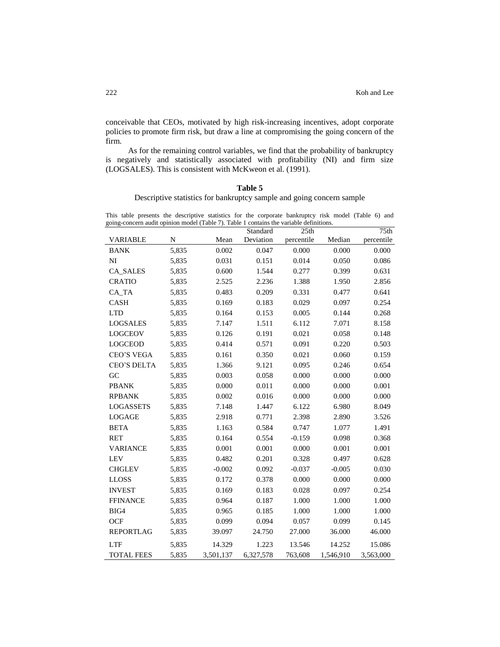conceivable that CEOs, motivated by high risk-increasing incentives, adopt corporate policies to promote firm risk, but draw a line at compromising the going concern of the firm.

As for the remaining control variables, we find that the probability of bankruptcy is negatively and statistically associated with profitability (NI) and firm size (LOGSALES). This is consistent with McKweon et al. (1991).

#### **Table 5**

Descriptive statistics for bankruptcy sample and going concern sample

This table presents the descriptive statistics for the corporate bankruptcy risk model (Table 6) and going-concern audit opinion model (Table 7). Table 1 contains the variable definitions.

| going-concern audit opmion model (Table 7). Table T contains the variable definitions. |             |           | Standard  | 25 <sub>th</sub> |           | 75th       |
|----------------------------------------------------------------------------------------|-------------|-----------|-----------|------------------|-----------|------------|
| <b>VARIABLE</b>                                                                        | $\mathbf N$ | Mean      | Deviation | percentile       | Median    | percentile |
| <b>BANK</b>                                                                            | 5,835       | 0.002     | 0.047     | 0.000            | 0.000     | 0.000      |
| NI                                                                                     | 5,835       | 0.031     | 0.151     | 0.014            | 0.050     | 0.086      |
| <b>CA_SALES</b>                                                                        | 5,835       | 0.600     | 1.544     | 0.277            | 0.399     | 0.631      |
| <b>CRATIO</b>                                                                          | 5,835       | 2.525     | 2.236     | 1.388            | 1.950     | 2.856      |
| CA_TA                                                                                  | 5,835       | 0.483     | 0.209     | 0.331            | 0.477     | 0.641      |
| CASH                                                                                   | 5,835       | 0.169     | 0.183     | 0.029            | 0.097     | 0.254      |
| <b>LTD</b>                                                                             | 5,835       | 0.164     | 0.153     | 0.005            | 0.144     | 0.268      |
| LOGSALES                                                                               | 5,835       | 7.147     | 1.511     | 6.112            | 7.071     | 8.158      |
| <b>LOGCEOV</b>                                                                         | 5,835       | 0.126     | 0.191     | 0.021            | 0.058     | 0.148      |
| <b>LOGCEOD</b>                                                                         | 5,835       | 0.414     | 0.571     | 0.091            | 0.220     | 0.503      |
| <b>CEO'S VEGA</b>                                                                      | 5,835       | 0.161     | 0.350     | 0.021            | 0.060     | 0.159      |
| <b>CEO'S DELTA</b>                                                                     | 5,835       | 1.366     | 9.121     | 0.095            | 0.246     | 0.654      |
| GC                                                                                     | 5,835       | 0.003     | 0.058     | 0.000            | 0.000     | 0.000      |
| <b>PBANK</b>                                                                           | 5,835       | 0.000     | 0.011     | 0.000            | 0.000     | 0.001      |
| <b>RPBANK</b>                                                                          | 5,835       | 0.002     | 0.016     | 0.000            | 0.000     | 0.000      |
| <b>LOGASSETS</b>                                                                       | 5,835       | 7.148     | 1.447     | 6.122            | 6.980     | 8.049      |
| LOGAGE                                                                                 | 5,835       | 2.918     | 0.771     | 2.398            | 2.890     | 3.526      |
| <b>BETA</b>                                                                            | 5,835       | 1.163     | 0.584     | 0.747            | 1.077     | 1.491      |
| RET                                                                                    | 5,835       | 0.164     | 0.554     | $-0.159$         | 0.098     | 0.368      |
| <b>VARIANCE</b>                                                                        | 5,835       | 0.001     | 0.001     | 0.000            | 0.001     | 0.001      |
| <b>LEV</b>                                                                             | 5,835       | 0.482     | 0.201     | 0.328            | 0.497     | 0.628      |
| <b>CHGLEV</b>                                                                          | 5,835       | $-0.002$  | 0.092     | $-0.037$         | $-0.005$  | 0.030      |
| <b>LLOSS</b>                                                                           | 5,835       | 0.172     | 0.378     | 0.000            | 0.000     | 0.000      |
| <b>INVEST</b>                                                                          | 5,835       | 0.169     | 0.183     | 0.028            | 0.097     | 0.254      |
| <b>FFINANCE</b>                                                                        | 5,835       | 0.964     | 0.187     | 1.000            | 1.000     | 1.000      |
| BIG4                                                                                   | 5,835       | 0.965     | 0.185     | 1.000            | 1.000     | 1.000      |
| <b>OCF</b>                                                                             | 5,835       | 0.099     | 0.094     | 0.057            | 0.099     | 0.145      |
| <b>REPORTLAG</b>                                                                       | 5,835       | 39.097    | 24.750    | 27.000           | 36.000    | 46.000     |
| <b>LTF</b>                                                                             | 5,835       | 14.329    | 1.223     | 13.546           | 14.252    | 15.086     |
| <b>TOTAL FEES</b>                                                                      | 5,835       | 3,501,137 | 6,327,578 | 763,608          | 1,546,910 | 3,563,000  |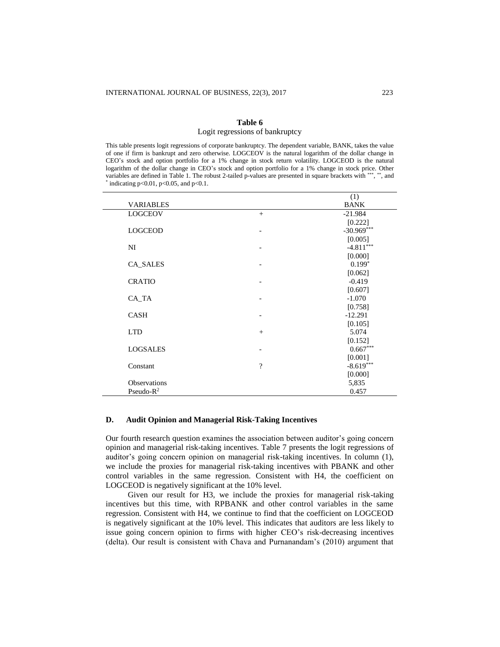#### **Table 6** Logit regressions of bankruptcy

This table presents logit regressions of corporate bankruptcy. The dependent variable, BANK, takes the value of one if firm is bankrupt and zero otherwise. LOGCEOV is the natural logarithm of the dollar change in CEO's stock and option portfolio for a 1% change in stock return volatility. LOGCEOD is the natural logarithm of the dollar change in CEO's stock and option portfolio for a 1% change in stock price. Other variables are defined in Table 1. The robust 2-tailed p-values are presented in square brackets with \*\*\*, \*\*, and  $*$  indicating p<0.01, p<0.05, and p<0.1.

|                  |                | (1)          |
|------------------|----------------|--------------|
| <b>VARIABLES</b> |                | <b>BANK</b>  |
| <b>LOGCEOV</b>   | $+$            | $-21.984$    |
|                  |                | [0.222]      |
| <b>LOGCEOD</b>   |                | $-30.969***$ |
|                  |                | [0.005]      |
| NI               |                | $-4.811***$  |
|                  |                | [0.000]      |
| <b>CA_SALES</b>  |                | $0.199*$     |
|                  |                | [0.062]      |
| <b>CRATIO</b>    |                | $-0.419$     |
|                  |                | [0.607]      |
| CA_TA            |                | $-1.070$     |
|                  |                | [0.758]      |
| <b>CASH</b>      |                | $-12.291$    |
|                  |                | [0.105]      |
| <b>LTD</b>       | $+$            | 5.074        |
|                  |                | [0.152]      |
| <b>LOGSALES</b>  |                | $0.667***$   |
|                  |                | [0.001]      |
| Constant         | $\overline{?}$ | $-8.619***$  |
|                  |                | [0.000]      |
| Observations     |                | 5,835        |
| Pseudo- $R^2$    |                | 0.457        |

#### **D. Audit Opinion and Managerial Risk-Taking Incentives**

Our fourth research question examines the association between auditor's going concern opinion and managerial risk-taking incentives. Table 7 presents the logit regressions of auditor's going concern opinion on managerial risk-taking incentives. In column (1), we include the proxies for managerial risk-taking incentives with PBANK and other control variables in the same regression. Consistent with H4, the coefficient on LOGCEOD is negatively significant at the 10% level.

Given our result for H3, we include the proxies for managerial risk-taking incentives but this time, with RPBANK and other control variables in the same regression. Consistent with H4, we continue to find that the coefficient on LOGCEOD is negatively significant at the 10% level. This indicates that auditors are less likely to issue going concern opinion to firms with higher CEO's risk-decreasing incentives (delta). Our result is consistent with Chava and Purnanandam's (2010) argument that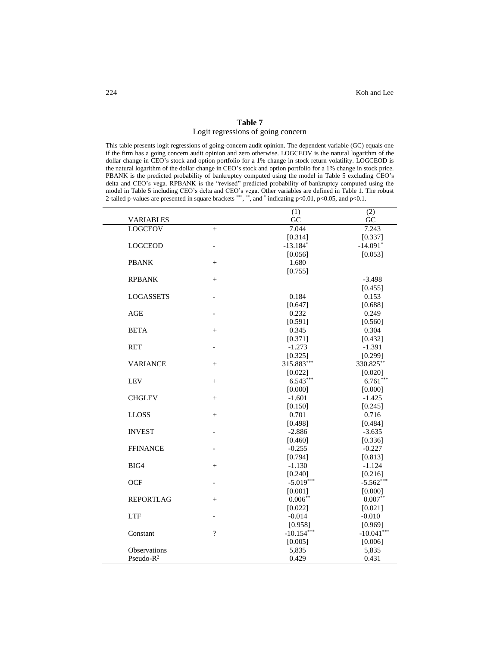# **Table 7** Logit regressions of going concern

This table presents logit regressions of going-concern audit opinion. The dependent variable (GC) equals one if the firm has a going concern audit opinion and zero otherwise. LOGCEOV is the natural logarithm of the dollar change in CEO's stock and option portfolio for a 1% change in stock return volatility. LOGCEOD is the natural logarithm of the dollar change in CEO's stock and option portfolio for a 1% change in stock price. PBANK is the predicted probability of bankruptcy computed using the model in Table 5 excluding CEO's delta and CEO's vega. RPBANK is the "revised" predicted probability of bankruptcy computed using the model in Table 5 including CEO's delta and CEO's vega. Other variables are defined in Table 1. The robust 2-tailed p-values are presented in square brackets \*\*\*, \*\*, and \* indicating  $p<0.01$ ,  $p<0.05$ , and  $p<0.1$ .

|                       |                          | (1)          | (2)          |
|-----------------------|--------------------------|--------------|--------------|
| <b>VARIABLES</b>      |                          | GC           | GC           |
| <b>LOGCEOV</b>        | $+$                      | 7.044        | 7.243        |
|                       |                          | [0.314]      | [0.337]      |
| <b>LOGCEOD</b>        |                          | $-13.184*$   | $-14.091*$   |
|                       |                          | [0.056]      | [0.053]      |
| <b>PBANK</b>          | $^{+}$                   | 1.680        |              |
|                       |                          | [0.755]      |              |
| <b>RPBANK</b>         | $+$                      |              | $-3.498$     |
|                       |                          |              | [0.455]      |
| <b>LOGASSETS</b>      |                          | 0.184        | 0.153        |
|                       |                          | [0.647]      | [0.688]      |
| AGE                   |                          | 0.232        | 0.249        |
|                       |                          | [0.591]      | [0.560]      |
| <b>BETA</b>           | $^{+}$                   | 0.345        | 0.304        |
|                       |                          | [0.371]      | [0.432]      |
| <b>RET</b>            | $\overline{\phantom{a}}$ | $-1.273$     | $-1.391$     |
|                       |                          | [0.325]      | [0.299]      |
| <b>VARIANCE</b>       | $^{+}$                   | 315.883***   | 330.825**    |
|                       |                          | [0.022]      | [0.020]      |
| <b>LEV</b>            | $^{+}$                   | $6.543***$   | $6.761***$   |
|                       |                          | [0.000]      | [0.000]      |
| <b>CHGLEV</b>         | $^{+}$                   | $-1.601$     | $-1.425$     |
|                       |                          | [0.150]      | [0.245]      |
| <b>LLOSS</b>          | $+$                      | 0.701        | 0.716        |
|                       |                          | [0.498]      | [0.484]      |
| <b>INVEST</b>         |                          | $-2.886$     | $-3.635$     |
|                       |                          | [0.460]      | [0.336]      |
| <b>FFINANCE</b>       |                          | $-0.255$     | $-0.227$     |
|                       |                          | [0.794]      | [0.813]      |
| BIG4                  | $^{+}$                   | $-1.130$     | $-1.124$     |
|                       |                          | [0.240]      | [0.216]      |
| <b>OCF</b>            | $\overline{a}$           | $-5.019***$  | $-5.562***$  |
|                       |                          | [0.001]      | [0.000]      |
| <b>REPORTLAG</b>      | $^{+}$                   | $0.006***$   | $0.007**$    |
|                       |                          | [0.022]      | [0.021]      |
| <b>LTF</b>            | $\overline{a}$           | $-0.014$     | $-0.010$     |
|                       |                          | [0.958]      | [0.969]      |
| Constant              | $\gamma$                 | $-10.154***$ | $-10.041***$ |
|                       |                          | [0.005]      | [0.006]      |
| Observations          |                          | 5,835        | 5,835        |
| Pseudo-R <sup>2</sup> |                          | 0.429        | 0.431        |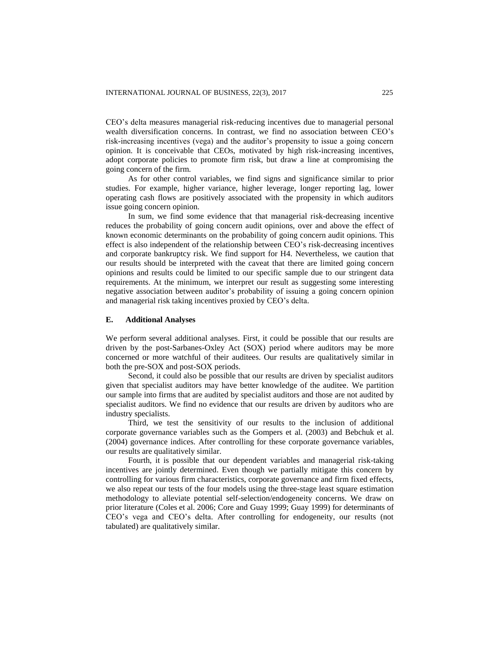CEO's delta measures managerial risk-reducing incentives due to managerial personal wealth diversification concerns. In contrast, we find no association between CEO's risk-increasing incentives (vega) and the auditor's propensity to issue a going concern opinion. It is conceivable that CEOs, motivated by high risk-increasing incentives, adopt corporate policies to promote firm risk, but draw a line at compromising the going concern of the firm.

As for other control variables, we find signs and significance similar to prior studies. For example, higher variance, higher leverage, longer reporting lag, lower operating cash flows are positively associated with the propensity in which auditors issue going concern opinion.

In sum, we find some evidence that that managerial risk-decreasing incentive reduces the probability of going concern audit opinions, over and above the effect of known economic determinants on the probability of going concern audit opinions. This effect is also independent of the relationship between CEO's risk-decreasing incentives and corporate bankruptcy risk. We find support for H4. Nevertheless, we caution that our results should be interpreted with the caveat that there are limited going concern opinions and results could be limited to our specific sample due to our stringent data requirements. At the minimum, we interpret our result as suggesting some interesting negative association between auditor's probability of issuing a going concern opinion and managerial risk taking incentives proxied by CEO's delta.

#### **E. Additional Analyses**

We perform several additional analyses. First, it could be possible that our results are driven by the post-Sarbanes-Oxley Act (SOX) period where auditors may be more concerned or more watchful of their auditees. Our results are qualitatively similar in both the pre-SOX and post-SOX periods.

Second, it could also be possible that our results are driven by specialist auditors given that specialist auditors may have better knowledge of the auditee. We partition our sample into firms that are audited by specialist auditors and those are not audited by specialist auditors. We find no evidence that our results are driven by auditors who are industry specialists.

Third, we test the sensitivity of our results to the inclusion of additional corporate governance variables such as the Gompers et al. (2003) and Bebchuk et al. (2004) governance indices. After controlling for these corporate governance variables, our results are qualitatively similar.

Fourth, it is possible that our dependent variables and managerial risk-taking incentives are jointly determined. Even though we partially mitigate this concern by controlling for various firm characteristics, corporate governance and firm fixed effects, we also repeat our tests of the four models using the three-stage least square estimation methodology to alleviate potential self-selection/endogeneity concerns. We draw on prior literature (Coles et al. 2006; Core and Guay 1999; Guay 1999) for determinants of CEO's vega and CEO's delta. After controlling for endogeneity, our results (not tabulated) are qualitatively similar.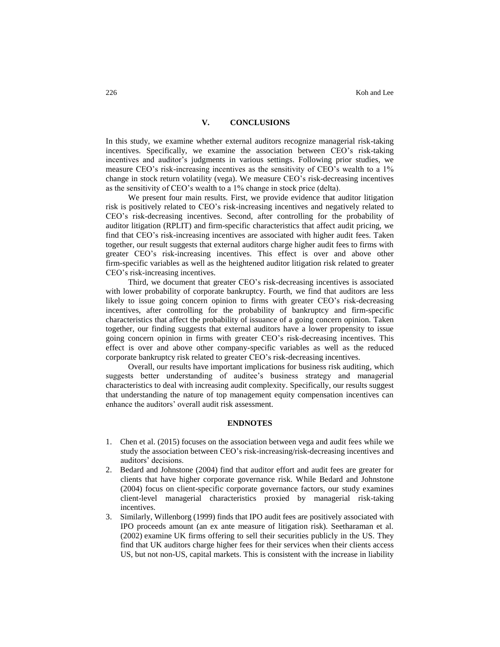#### **V. CONCLUSIONS**

In this study, we examine whether external auditors recognize managerial risk-taking incentives. Specifically, we examine the association between CEO's risk-taking incentives and auditor's judgments in various settings. Following prior studies, we measure CEO's risk-increasing incentives as the sensitivity of CEO's wealth to a 1% change in stock return volatility (vega). We measure CEO's risk-decreasing incentives as the sensitivity of CEO's wealth to a 1% change in stock price (delta).

We present four main results. First, we provide evidence that auditor litigation risk is positively related to CEO's risk-increasing incentives and negatively related to CEO's risk-decreasing incentives. Second, after controlling for the probability of auditor litigation (RPLIT) and firm-specific characteristics that affect audit pricing, we find that CEO's risk-increasing incentives are associated with higher audit fees. Taken together, our result suggests that external auditors charge higher audit fees to firms with greater CEO's risk-increasing incentives. This effect is over and above other firm-specific variables as well as the heightened auditor litigation risk related to greater CEO's risk-increasing incentives.

Third, we document that greater CEO's risk-decreasing incentives is associated with lower probability of corporate bankruptcy. Fourth, we find that auditors are less likely to issue going concern opinion to firms with greater CEO's risk-decreasing incentives, after controlling for the probability of bankruptcy and firm-specific characteristics that affect the probability of issuance of a going concern opinion. Taken together, our finding suggests that external auditors have a lower propensity to issue going concern opinion in firms with greater CEO's risk-decreasing incentives. This effect is over and above other company-specific variables as well as the reduced corporate bankruptcy risk related to greater CEO's risk-decreasing incentives.

Overall, our results have important implications for business risk auditing, which suggests better understanding of auditee's business strategy and managerial characteristics to deal with increasing audit complexity. Specifically, our results suggest that understanding the nature of top management equity compensation incentives can enhance the auditors' overall audit risk assessment.

# **ENDNOTES**

- 1. Chen et al. (2015) focuses on the association between vega and audit fees while we study the association between CEO's risk-increasing/risk-decreasing incentives and auditors' decisions.
- 2. Bedard and Johnstone (2004) find that auditor effort and audit fees are greater for clients that have higher corporate governance risk. While Bedard and Johnstone (2004) focus on client-specific corporate governance factors, our study examines client-level managerial characteristics proxied by managerial risk-taking incentives.
- 3. Similarly, Willenborg (1999) finds that IPO audit fees are positively associated with IPO proceeds amount (an ex ante measure of litigation risk). Seetharaman et al. (2002) examine UK firms offering to sell their securities publicly in the US. They find that UK auditors charge higher fees for their services when their clients access US, but not non-US, capital markets. This is consistent with the increase in liability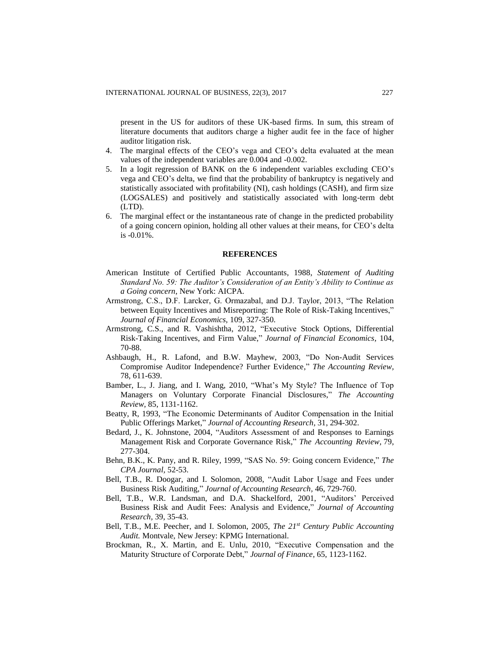present in the US for auditors of these UK-based firms. In sum, this stream of literature documents that auditors charge a higher audit fee in the face of higher auditor litigation risk.

- 4. The marginal effects of the CEO's vega and CEO's delta evaluated at the mean values of the independent variables are 0.004 and -0.002.
- 5. In a logit regression of BANK on the 6 independent variables excluding CEO's vega and CEO's delta, we find that the probability of bankruptcy is negatively and statistically associated with profitability (NI), cash holdings (CASH), and firm size (LOGSALES) and positively and statistically associated with long-term debt (LTD).
- 6. The marginal effect or the instantaneous rate of change in the predicted probability of a going concern opinion, holding all other values at their means, for CEO's delta is -0.01%.

#### **REFERENCES**

- American Institute of Certified Public Accountants, 1988, *Statement of Auditing Standard No. 59: The Auditor's Consideration of an Entity's Ability to Continue as a Going concern*, New York: AICPA.
- Armstrong, C.S., D.F. Larcker, G. Ormazabal, and D.J. Taylor, 2013, "The Relation between Equity Incentives and Misreporting: The Role of Risk-Taking Incentives," *Journal of Financial Economics,* 109, 327-350.
- Armstrong, C.S., and R. Vashishtha, 2012, "Executive Stock Options, Differential Risk-Taking Incentives, and Firm Value," *Journal of Financial Economics,* 104, 70-88.
- Ashbaugh, H., R. Lafond, and B.W. Mayhew, 2003, "Do Non-Audit Services Compromise Auditor Independence? Further Evidence," *The Accounting Review,* 78, 611-639.
- Bamber, L., J. Jiang, and I. Wang, 2010, "What's My Style? The Influence of Top Managers on Voluntary Corporate Financial Disclosures," *The Accounting Review,* 85, 1131-1162.
- Beatty, R, 1993, "The Economic Determinants of Auditor Compensation in the Initial Public Offerings Market," *Journal of Accounting Research,* 31, 294-302.
- Bedard, J., K. Johnstone, 2004, "Auditors Assessment of and Responses to Earnings Management Risk and Corporate Governance Risk," *The Accounting Review,* 79, 277-304.
- Behn, B.K., K. Pany, and R. Riley, 1999, "SAS No. 59: Going concern Evidence," *The CPA Journal,* 52-53.
- Bell, T.B., R. Doogar, and I. Solomon, 2008, "Audit Labor Usage and Fees under Business Risk Auditing," *Journal of Accounting Research,* 46, 729-760.
- Bell, T.B., W.R. Landsman, and D.A. Shackelford, 2001, "Auditors' Perceived Business Risk and Audit Fees: Analysis and Evidence," *Journal of Accounting Research,* 39, 35-43.
- Bell, T.B., M.E. Peecher, and I. Solomon, 2005, *The 21st Century Public Accounting Audit.* Montvale, New Jersey: KPMG International.
- Brockman, R., X. Martin, and E. Unlu, 2010, "Executive Compensation and the Maturity Structure of Corporate Debt," *Journal of Finance,* 65, 1123-1162.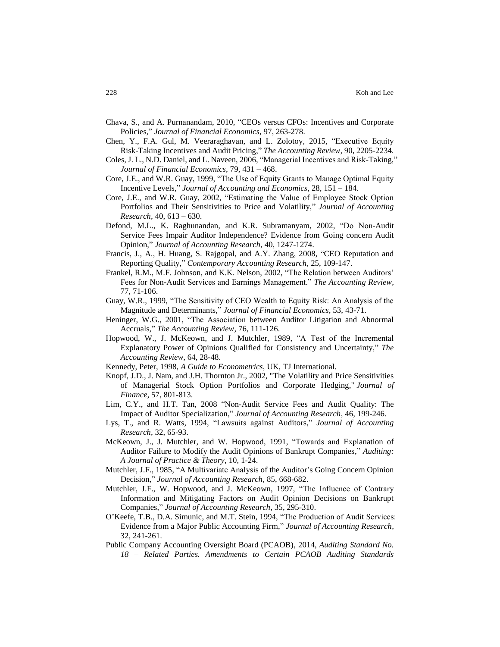- Chava, S., and A. Purnanandam, 2010, "CEOs versus CFOs: Incentives and Corporate Policies," *Journal of Financial Economics,* 97, 263-278.
- Chen, Y., F.A. Gul, M. Veeraraghavan, and L. Zolotoy, 2015, "Executive Equity Risk-Taking Incentives and Audit Pricing," *The Accounting Review,* 90, 2205-2234.
- Coles, J. L., N.D. Daniel, and L. Naveen, 2006, "Managerial Incentives and Risk-Taking," *Journal of Financial Economics,* 79, 431 – 468.
- Core, J.E., and W.R. Guay, 1999, "The Use of Equity Grants to Manage Optimal Equity Incentive Levels," *Journal of Accounting and Economics,* 28, 151 – 184.
- Core, J.E., and W.R. Guay, 2002, "Estimating the Value of Employee Stock Option Portfolios and Their Sensitivities to Price and Volatility," *Journal of Accounting Research,* 40, 613 – 630.
- Defond, M.L., K. Raghunandan, and K.R. Subramanyam, 2002, "Do Non-Audit Service Fees Impair Auditor Independence? Evidence from Going concern Audit Opinion," *Journal of Accounting Research,* 40, 1247-1274.
- Francis, J., A., H. Huang, S. Rajgopal, and A.Y. Zhang, 2008, "CEO Reputation and Reporting Quality," *Contemporary Accounting Research,* 25, 109-147.
- Frankel, R.M., M.F. Johnson, and K.K. Nelson, 2002, "The Relation between Auditors' Fees for Non-Audit Services and Earnings Management." *The Accounting Review,* 77, 71-106.
- Guay, W.R., 1999, "The Sensitivity of CEO Wealth to Equity Risk: An Analysis of the Magnitude and Determinants," *Journal of Financial Economics,* 53, 43-71.
- Heninger, W.G., 2001, "The Association between Auditor Litigation and Abnormal Accruals," *The Accounting Review,* 76, 111-126.
- Hopwood, W., J. McKeown, and J. Mutchler, 1989, "A Test of the Incremental Explanatory Power of Opinions Qualified for Consistency and Uncertainty," *The Accounting Review,* 64, 28-48.
- Kennedy, Peter, 1998, *A Guide to Econometrics*, UK, TJ International.
- Knopf, J.D., J. Nam, and J.H. Thornton Jr., 2002, ["The Volatility and Price Sensitivities](http://ideas.repec.org/a/bla/jfinan/v57y2002i2p801-813.html)  [of Managerial Stock Option Portfolios and Corporate Hedging,](http://ideas.repec.org/a/bla/jfinan/v57y2002i2p801-813.html)" *[Journal of](http://ideas.repec.org/s/bla/jfinan.html)  [Finance,](http://ideas.repec.org/s/bla/jfinan.html)* 57, 801-813.
- Lim, C.Y., and H.T. Tan, 2008 "Non-Audit Service Fees and Audit Quality: The Impact of Auditor Specialization," *Journal of Accounting Research,* 46, 199-246.
- Lys, T., and R. Watts, 1994, "Lawsuits against Auditors," *Journal of Accounting Research,* 32, 65-93.
- McKeown, J., J. Mutchler, and W. Hopwood, 1991, "Towards and Explanation of Auditor Failure to Modify the Audit Opinions of Bankrupt Companies," *Auditing: A Journal of Practice & Theory,* 10, 1-24.
- Mutchler, J.F., 1985, "A Multivariate Analysis of the Auditor's Going Concern Opinion Decision," *Journal of Accounting Research,* 85, 668-682.
- Mutchler, J.F., W. Hopwood, and J. McKeown, 1997, "The Influence of Contrary Information and Mitigating Factors on Audit Opinion Decisions on Bankrupt Companies," *Journal of Accounting Research,* 35, 295-310.
- O'Keefe, T.B., D.A. Simunic, and M.T. Stein, 1994, "The Production of Audit Services: Evidence from a Major Public Accounting Firm," *Journal of Accounting Research,* 32, 241-261.
- Public Company Accounting Oversight Board (PCAOB), 2014, *Auditing Standard No. 18 – Related Parties. Amendments to Certain PCAOB Auditing Standards*